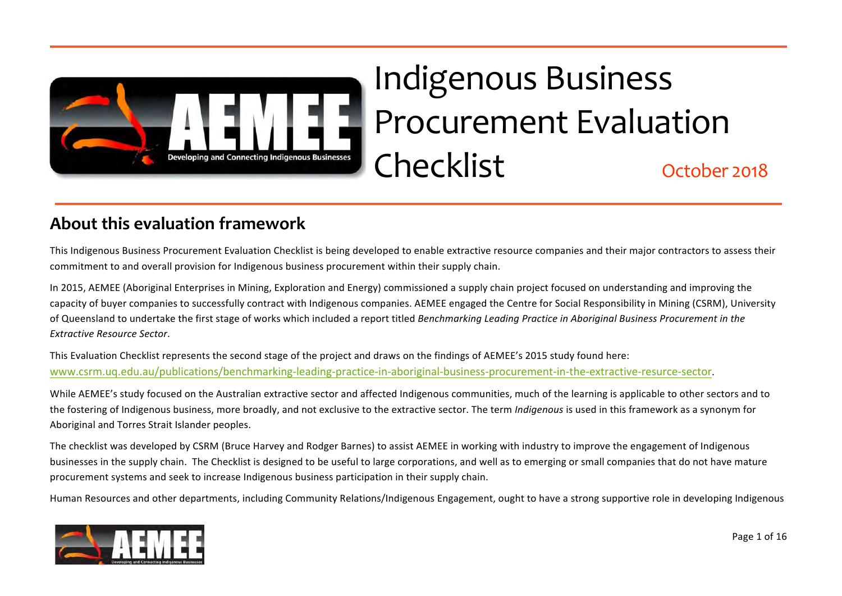

# Indigenous Business Procurement Evaluation Checklist ABG Group busine October 2018

## **About this evaluation framework**

This Indigenous Business Procurement Evaluation Checklist is being developed to enable extractive resource companies and their major contractors to assess their<br>commitment to and overall provision for Indigenous business p commitment to and overall provision for Indigenous business procurement within their supply chain.

capacity of buyer companies to successfully contract with Indigenous companies. AEMEE engaged the Centre for Social Responsibility in Mining (CSRM), University<br>of Queensland to undertake the first stage of works which incl In 2015, AEMEE (Aboriginal Enterprises in Mining, Exploration and Energy) commissioned a supply chain project focused on understanding and improving the of Queensland to undertake the first stage of works which included a report titled *Benchmarking Leading Practice in Aboriginal Business Procurement in the Extractive Resource Sector*.

This Evaluation Checklist represents the second stage of the project and draws on the findings of AEMEE's 2015 study found here:<br><u>www.csrm.uq.edu.au/publications/benchmarking-leading-practice-in-aboriginal-business-procure</u> This Evaluation Checklist represents the second stage of the project and draws on the findings of AEMEE's 2015 study found here:

**A** *der* peoples. While AEMEE's study focused on the Australian extractive sector and affected Indigenous communities, much of the learning is applicable to other sectors and to the fostering of Indigenous business, more broadly, and not exclusive to the extractive sector. The term *Indigenous* is used in this framework as a synonym for Aboriginal and Torres Strait Islander peoples.

businesses in the supply chain. The Checklist is designed to be useful to large corporations, and well as to emerging or small companies that do not have mature The checklist was developed by CSRM (Bruce Harvey and Rodger Barnes) to assist AEMEE in working with industry to improve the engagement of Indigenous procurement systems and seek to increase Indigenous business participation in their supply chain.

Human Resources and other departments, including Community Relations/Indigenous Engagement, ought to have a strong supportive role in developing Indigenous

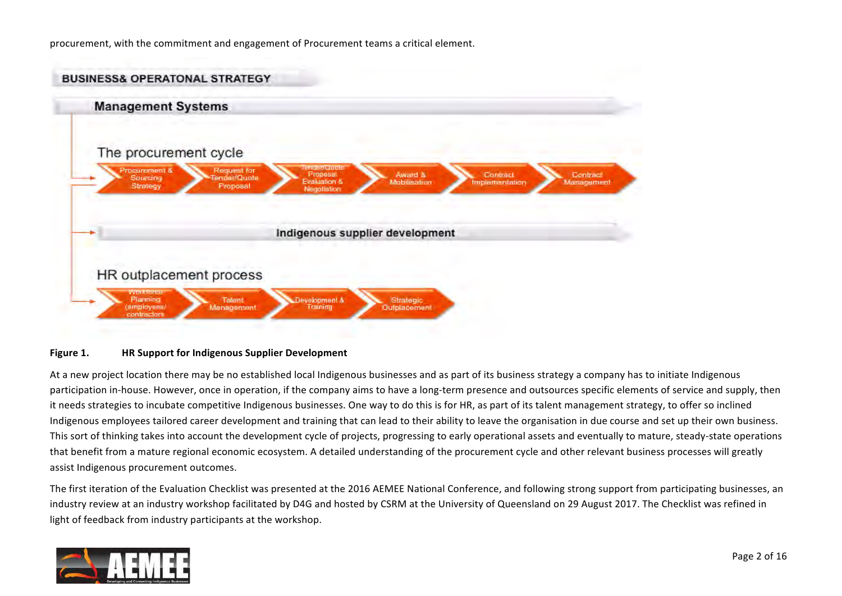procurement, with the commitment and engagement of Procurement teams a critical element.



#### Figure 1. HR Support for Indigenous Supplier Development

At a new project location there may be no established local Indigenous businesses and as part of its business strategy a company has to initiate Indigenous participation in-house. However, once in operation, if the company aims to have a long-term presence and outsources specific elements of service and supply, then it needs strategies to incubate competitive Indigenous businesses. One way to do this is for HR, as part of its talent management strategy, to offer so inclined Indigenous employees tailored career development and training that can lead to their ability to leave the organisation in due course and set up their own business. This sort of thinking takes into account the development cycle of projects, progressing to early operational assets and eventually to mature, steady-state operations that benefit from a mature regional economic ecosystem. A detailed understanding of the procurement cycle and other relevant business processes will greatly assist Indigenous procurement outcomes.

The first iteration of the Evaluation Checklist was presented at the 2016 AEMEE National Conference, and following strong support from participating businesses, an industry review at an industry workshop facilitated by D4G and hosted by CSRM at the University of Queensland on 29 August 2017. The Checklist was refined in light of feedback from industry participants at the workshop.

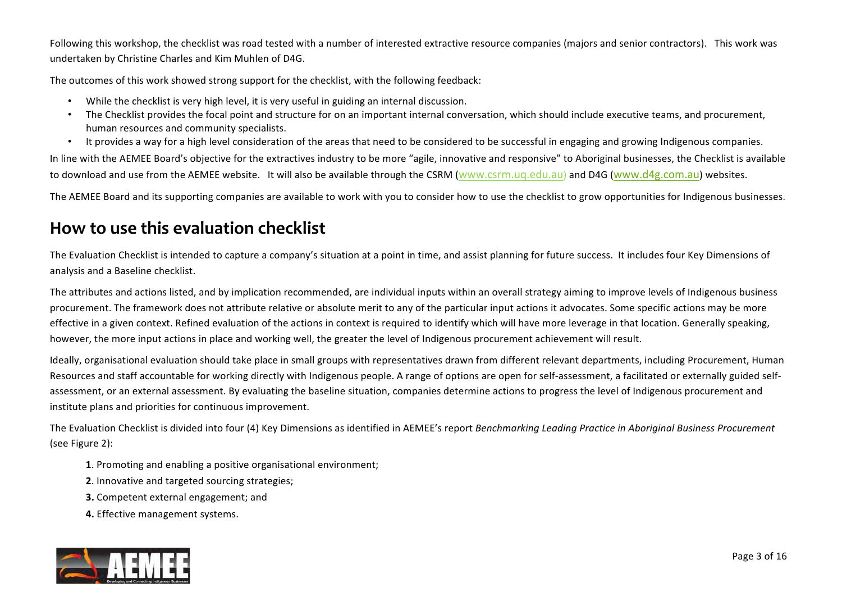Following this workshop, the checklist was road tested with a number of interested extractive resource companies (majors and senior contractors). This work was undertaken by Christine Charles and Kim Muhlen of D4G.

The outcomes of this work showed strong support for the checklist, with the following feedback:

- While the checklist is very high level, it is very useful in guiding an internal discussion.
- The Checklist provides the focal point and structure for on an important internal conversation, which should include executive teams, and procurement, human resources and community specialists.
- It provides a way for a high level consideration of the areas that need to be considered to be successful in engaging and growing Indigenous companies.

In line with the AEMEE Board's objective for the extractives industry to be more "agile, innovative and responsive" to Aboriginal businesses, the Checklist is available to download and use from the AEMEE website. It will also be available through the CSRM ([www.csrm.uq.edu.au](http://www.csrm.uq.edu.au)) and D4G ([www.d4g.com.au\)](http://www.d4g.com.au) websites.

The AEMEE Board and its supporting companies are available to work with you to consider how to use the checklist to grow opportunities for Indigenous businesses.

### **How to use this evaluation checklist**

The Evaluation Checklist is intended to capture a company's situation at a point in time, and assist planning for future success. It includes four Key Dimensions of analysis and a Baseline checklist.

The attributes and actions listed, and by implication recommended, are individual inputs within an overall strategy aiming to improve levels of Indigenous business procurement. The framework does not attribute relative or absolute merit to any of the particular input actions it advocates. Some specific actions may be more effective in a given context. Refined evaluation of the actions in context is required to identify which will have more leverage in that location. Generally speaking, however, the more input actions in place and working well, the greater the level of Indigenous procurement achievement will result.

Ideally, organisational evaluation should take place in small groups with representatives drawn from different relevant departments, including Procurement, Human Resources and staff accountable for working directly with Indigenous people. A range of options are open for self-assessment, a facilitated or externally guided selfassessment, or an external assessment. By evaluating the baseline situation, companies determine actions to progress the level of Indigenous procurement and institute plans and priorities for continuous improvement.

The Evaluation Checklist is divided into four (4) Key Dimensions as identified in AEMEE's report *Benchmarking Leading Practice in Aboriginal Business Procurement* (see Figure 2):

- **1**. Promoting and enabling a positive organisational environment;
- **2**. Innovative and targeted sourcing strategies;
- **3.** Competent external engagement; and
- **4.** Effective management systems.

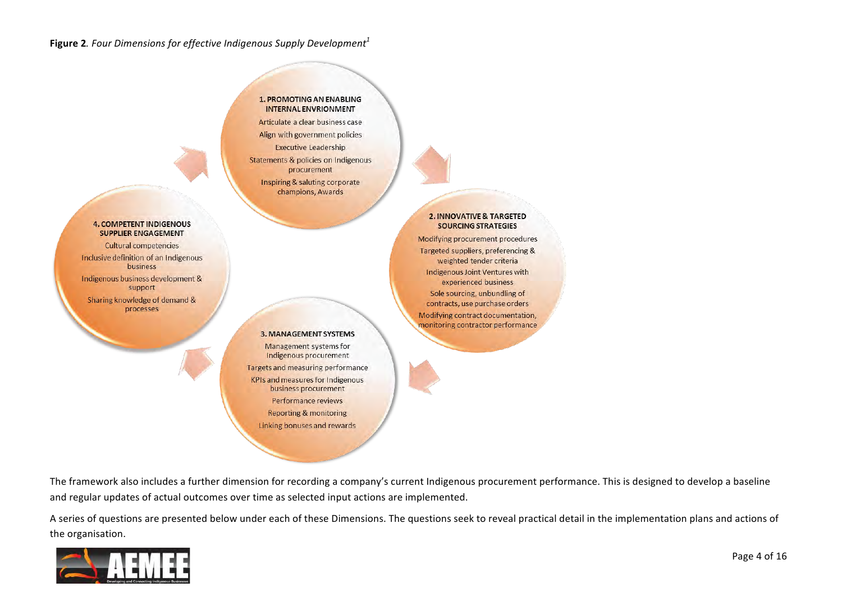#### **Figure 2.** Four Dimensions for effective Indigenous Supply Development<sup>1</sup>

#### **1. PROMOTING AN ENABLING** INTERNAL ENVRIONMENT

Articulate a clear business case Align with government policies Executive Leadership **Statements & policies on Indigenous** procurement **Inspiring & saluting corporate** 

champions, Awards

#### **2. INNOVATIVE & TARGETED SOURCING STRATEGIES**

Modifying procurement procedures Targeted suppliers, preferencing & weighted tender criteria Indigenous Joint Ventures with experienced business Sole sourcing, unbundling of contracts, use purchase orders Modifying contract documentation. monitoring contractor performance

#### **4. COMPETENT INDIGENOUS SUPPLIER ENGAGEMENT**

**Cultural competencies** Inclusive definition of an Indigenous business

Indigenous business development & support

Sharing knowledge of demand & processes

#### **3. MANAGEMENT SYSTEMS**

Management systems for Indigenous procurement **Targets and measuring performance KPIs and measures for Indigenous** business procurement Performance reviews **Reporting & monitoring** Linking bonuses and rewards

The framework also includes a further dimension for recording a company's current Indigenous procurement performance. This is designed to develop a baseline and regular updates of actual outcomes over time as selected input actions are implemented.

A series of questions are presented below under each of these Dimensions. The questions seek to reveal practical detail in the implementation plans and actions of the organisation.

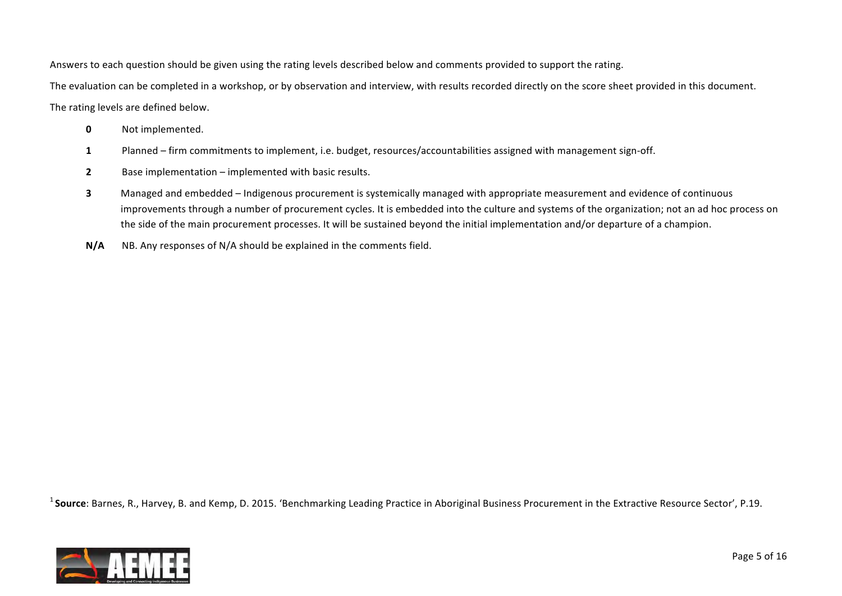Answers to each question should be given using the rating levels described below and comments provided to support the rating.

The evaluation can be completed in a workshop, or by observation and interview, with results recorded directly on the score sheet provided in this document.

The rating levels are defined below.

- **0** Not implemented.
- 1 Planned firm commitments to implement, i.e. budget, resources/accountabilities assigned with management sign-off.
- **2** Base implementation implemented with basic results.
- **3** Managed and embedded Indigenous procurement is systemically managed with appropriate measurement and evidence of continuous improvements through a number of procurement cycles. It is embedded into the culture and systems of the organization; not an ad hoc process on the side of the main procurement processes. It will be sustained beyond the initial implementation and/or departure of a champion.
- **N/A** NB. Any responses of N/A should be explained in the comments field.

<sup>1</sup> Source: Barnes, R., Harvey, B. and Kemp, D. 2015. 'Benchmarking Leading Practice in Aboriginal Business Procurement in the Extractive Resource Sector', P.19.

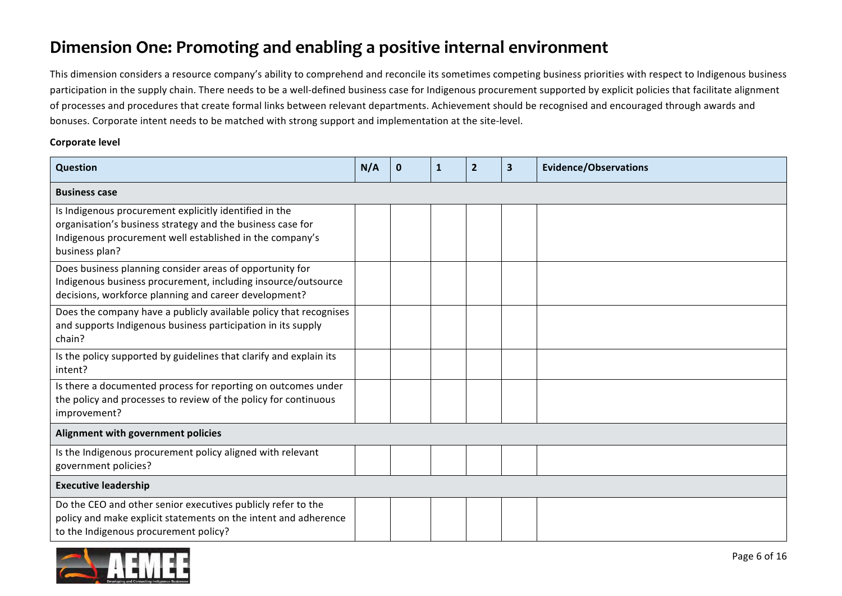### **Dimension One: Promoting and enabling a positive internal environment**

This dimension considers a resource company's ability to comprehend and reconcile its sometimes competing business priorities with respect to Indigenous business participation in the supply chain. There needs to be a well-defined business case for Indigenous procurement supported by explicit policies that facilitate alignment of processes and procedures that create formal links between relevant departments. Achievement should be recognised and encouraged through awards and bonuses. Corporate intent needs to be matched with strong support and implementation at the site-level.

#### **Corporate level**

| Question                                                                                                                                                                                           | N/A | $\mathbf 0$ | 1 | $\overline{2}$ | 3 | <b>Evidence/Observations</b> |
|----------------------------------------------------------------------------------------------------------------------------------------------------------------------------------------------------|-----|-------------|---|----------------|---|------------------------------|
| <b>Business case</b>                                                                                                                                                                               |     |             |   |                |   |                              |
| Is Indigenous procurement explicitly identified in the<br>organisation's business strategy and the business case for<br>Indigenous procurement well established in the company's<br>business plan? |     |             |   |                |   |                              |
| Does business planning consider areas of opportunity for<br>Indigenous business procurement, including insource/outsource<br>decisions, workforce planning and career development?                 |     |             |   |                |   |                              |
| Does the company have a publicly available policy that recognises<br>and supports Indigenous business participation in its supply<br>chain?                                                        |     |             |   |                |   |                              |
| Is the policy supported by guidelines that clarify and explain its<br>intent?                                                                                                                      |     |             |   |                |   |                              |
| Is there a documented process for reporting on outcomes under<br>the policy and processes to review of the policy for continuous<br>improvement?                                                   |     |             |   |                |   |                              |
| Alignment with government policies                                                                                                                                                                 |     |             |   |                |   |                              |
| Is the Indigenous procurement policy aligned with relevant<br>government policies?                                                                                                                 |     |             |   |                |   |                              |
| <b>Executive leadership</b>                                                                                                                                                                        |     |             |   |                |   |                              |
| Do the CEO and other senior executives publicly refer to the<br>policy and make explicit statements on the intent and adherence<br>to the Indigenous procurement policy?                           |     |             |   |                |   |                              |

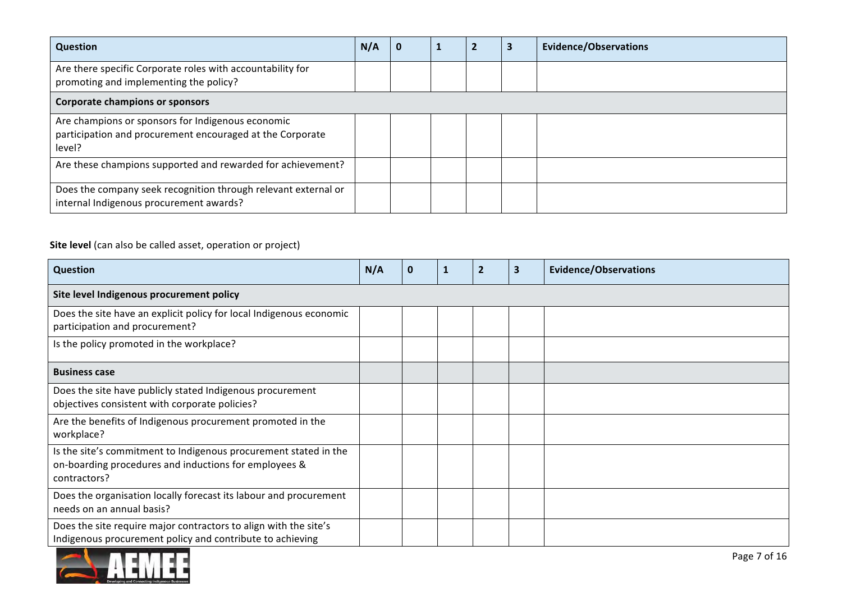| <b>Question</b>                                                                                                          | N/A | $\mathbf{0}$ |  | <b>Evidence/Observations</b> |
|--------------------------------------------------------------------------------------------------------------------------|-----|--------------|--|------------------------------|
| Are there specific Corporate roles with accountability for<br>promoting and implementing the policy?                     |     |              |  |                              |
| <b>Corporate champions or sponsors</b>                                                                                   |     |              |  |                              |
| Are champions or sponsors for Indigenous economic<br>participation and procurement encouraged at the Corporate<br>level? |     |              |  |                              |
| Are these champions supported and rewarded for achievement?                                                              |     |              |  |                              |
| Does the company seek recognition through relevant external or<br>internal Indigenous procurement awards?                |     |              |  |                              |

#### **Site level** (can also be called asset, operation or project)

| <b>Question</b>                                                                                                                           | N/A | $\bf{0}$ | 1 | $\overline{2}$ | 3 | <b>Evidence/Observations</b> |
|-------------------------------------------------------------------------------------------------------------------------------------------|-----|----------|---|----------------|---|------------------------------|
| Site level Indigenous procurement policy                                                                                                  |     |          |   |                |   |                              |
| Does the site have an explicit policy for local Indigenous economic<br>participation and procurement?                                     |     |          |   |                |   |                              |
| Is the policy promoted in the workplace?                                                                                                  |     |          |   |                |   |                              |
| <b>Business case</b>                                                                                                                      |     |          |   |                |   |                              |
| Does the site have publicly stated Indigenous procurement<br>objectives consistent with corporate policies?                               |     |          |   |                |   |                              |
| Are the benefits of Indigenous procurement promoted in the<br>workplace?                                                                  |     |          |   |                |   |                              |
| Is the site's commitment to Indigenous procurement stated in the<br>on-boarding procedures and inductions for employees &<br>contractors? |     |          |   |                |   |                              |
| Does the organisation locally forecast its labour and procurement<br>needs on an annual basis?                                            |     |          |   |                |   |                              |
| Does the site require major contractors to align with the site's<br>Indigenous procurement policy and contribute to achieving             |     |          |   |                |   |                              |

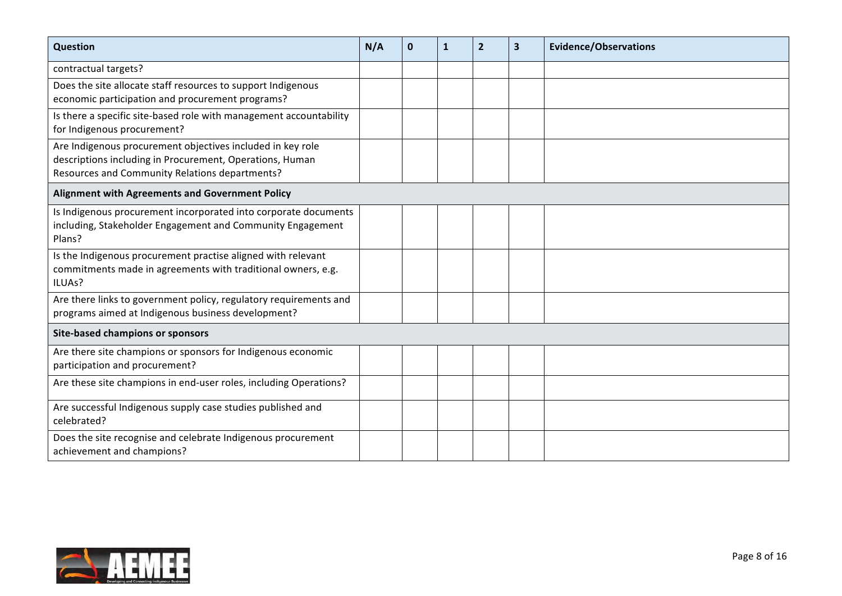| Question                                                                                                                                                                 | N/A | $\mathbf 0$ | $\mathbf{1}$ | $\overline{2}$ | $\overline{\mathbf{3}}$ | <b>Evidence/Observations</b> |
|--------------------------------------------------------------------------------------------------------------------------------------------------------------------------|-----|-------------|--------------|----------------|-------------------------|------------------------------|
| contractual targets?                                                                                                                                                     |     |             |              |                |                         |                              |
| Does the site allocate staff resources to support Indigenous<br>economic participation and procurement programs?                                                         |     |             |              |                |                         |                              |
| Is there a specific site-based role with management accountability<br>for Indigenous procurement?                                                                        |     |             |              |                |                         |                              |
| Are Indigenous procurement objectives included in key role<br>descriptions including in Procurement, Operations, Human<br>Resources and Community Relations departments? |     |             |              |                |                         |                              |
| Alignment with Agreements and Government Policy                                                                                                                          |     |             |              |                |                         |                              |
| Is Indigenous procurement incorporated into corporate documents<br>including, Stakeholder Engagement and Community Engagement<br>Plans?                                  |     |             |              |                |                         |                              |
| Is the Indigenous procurement practise aligned with relevant<br>commitments made in agreements with traditional owners, e.g.<br>ILUAs?                                   |     |             |              |                |                         |                              |
| Are there links to government policy, regulatory requirements and<br>programs aimed at Indigenous business development?                                                  |     |             |              |                |                         |                              |
| <b>Site-based champions or sponsors</b>                                                                                                                                  |     |             |              |                |                         |                              |
| Are there site champions or sponsors for Indigenous economic<br>participation and procurement?                                                                           |     |             |              |                |                         |                              |
| Are these site champions in end-user roles, including Operations?                                                                                                        |     |             |              |                |                         |                              |
| Are successful Indigenous supply case studies published and<br>celebrated?                                                                                               |     |             |              |                |                         |                              |
| Does the site recognise and celebrate Indigenous procurement<br>achievement and champions?                                                                               |     |             |              |                |                         |                              |

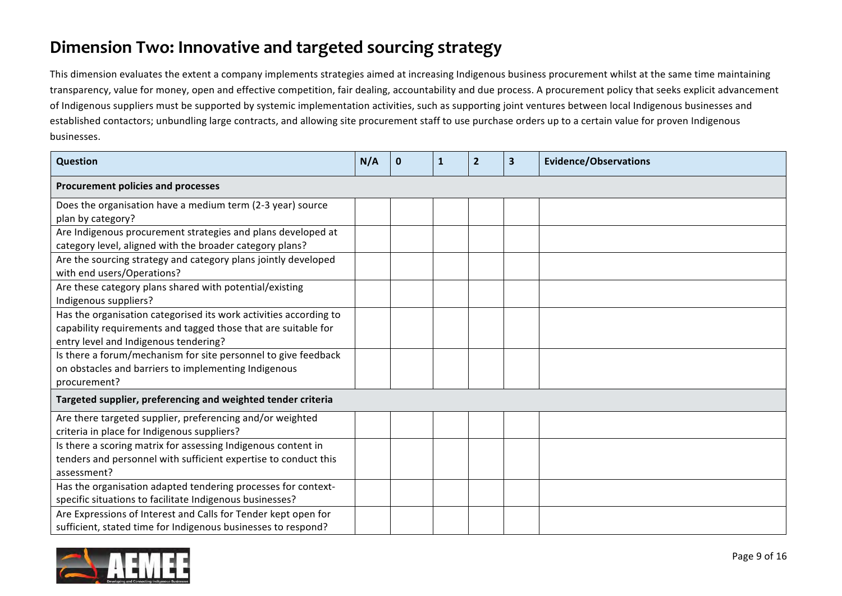## **Dimension Two: Innovative and targeted sourcing strategy**

This dimension evaluates the extent a company implements strategies aimed at increasing Indigenous business procurement whilst at the same time maintaining transparency, value for money, open and effective competition, fair dealing, accountability and due process. A procurement policy that seeks explicit advancement of Indigenous suppliers must be supported by systemic implementation activities, such as supporting joint ventures between local Indigenous businesses and established contactors; unbundling large contracts, and allowing site procurement staff to use purchase orders up to a certain value for proven Indigenous businesses.

| Question                                                                                                                                                                     | N/A | $\bf{0}$ | 1 | $\mathbf{2}$ | $\overline{\mathbf{3}}$ | <b>Evidence/Observations</b> |
|------------------------------------------------------------------------------------------------------------------------------------------------------------------------------|-----|----------|---|--------------|-------------------------|------------------------------|
| Procurement policies and processes                                                                                                                                           |     |          |   |              |                         |                              |
| Does the organisation have a medium term (2-3 year) source<br>plan by category?                                                                                              |     |          |   |              |                         |                              |
| Are Indigenous procurement strategies and plans developed at<br>category level, aligned with the broader category plans?                                                     |     |          |   |              |                         |                              |
| Are the sourcing strategy and category plans jointly developed<br>with end users/Operations?                                                                                 |     |          |   |              |                         |                              |
| Are these category plans shared with potential/existing<br>Indigenous suppliers?                                                                                             |     |          |   |              |                         |                              |
| Has the organisation categorised its work activities according to<br>capability requirements and tagged those that are suitable for<br>entry level and Indigenous tendering? |     |          |   |              |                         |                              |
| Is there a forum/mechanism for site personnel to give feedback<br>on obstacles and barriers to implementing Indigenous<br>procurement?                                       |     |          |   |              |                         |                              |
| Targeted supplier, preferencing and weighted tender criteria                                                                                                                 |     |          |   |              |                         |                              |
| Are there targeted supplier, preferencing and/or weighted<br>criteria in place for Indigenous suppliers?                                                                     |     |          |   |              |                         |                              |
| Is there a scoring matrix for assessing Indigenous content in<br>tenders and personnel with sufficient expertise to conduct this<br>assessment?                              |     |          |   |              |                         |                              |
| Has the organisation adapted tendering processes for context-<br>specific situations to facilitate Indigenous businesses?                                                    |     |          |   |              |                         |                              |
| Are Expressions of Interest and Calls for Tender kept open for<br>sufficient, stated time for Indigenous businesses to respond?                                              |     |          |   |              |                         |                              |

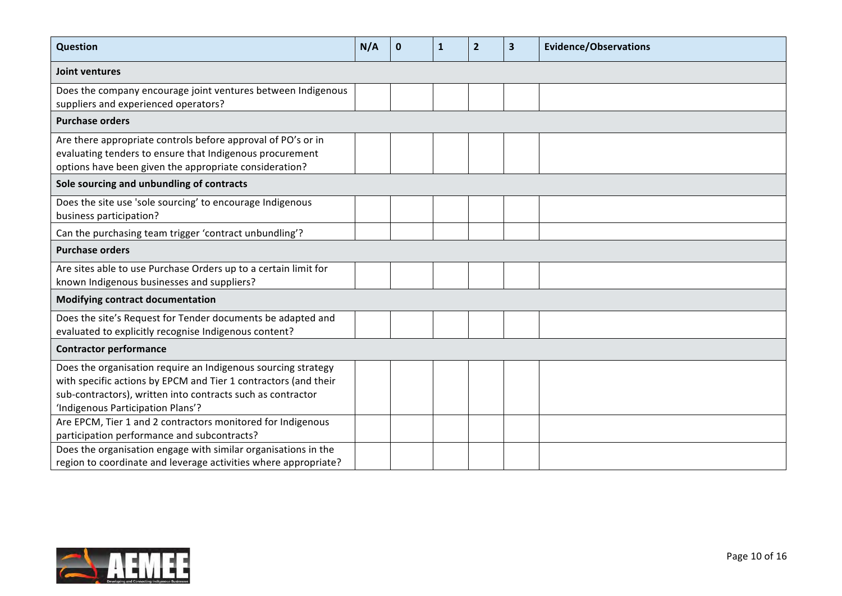| Question                                                                                                                                                                                                                             | N/A | $\mathbf 0$ | 1 | $\overline{2}$ | $\overline{\mathbf{3}}$ | <b>Evidence/Observations</b> |
|--------------------------------------------------------------------------------------------------------------------------------------------------------------------------------------------------------------------------------------|-----|-------------|---|----------------|-------------------------|------------------------------|
| Joint ventures                                                                                                                                                                                                                       |     |             |   |                |                         |                              |
| Does the company encourage joint ventures between Indigenous<br>suppliers and experienced operators?                                                                                                                                 |     |             |   |                |                         |                              |
| <b>Purchase orders</b>                                                                                                                                                                                                               |     |             |   |                |                         |                              |
| Are there appropriate controls before approval of PO's or in<br>evaluating tenders to ensure that Indigenous procurement<br>options have been given the appropriate consideration?                                                   |     |             |   |                |                         |                              |
| Sole sourcing and unbundling of contracts                                                                                                                                                                                            |     |             |   |                |                         |                              |
| Does the site use 'sole sourcing' to encourage Indigenous<br>business participation?                                                                                                                                                 |     |             |   |                |                         |                              |
| Can the purchasing team trigger 'contract unbundling'?                                                                                                                                                                               |     |             |   |                |                         |                              |
| <b>Purchase orders</b>                                                                                                                                                                                                               |     |             |   |                |                         |                              |
| Are sites able to use Purchase Orders up to a certain limit for<br>known Indigenous businesses and suppliers?                                                                                                                        |     |             |   |                |                         |                              |
| <b>Modifying contract documentation</b>                                                                                                                                                                                              |     |             |   |                |                         |                              |
| Does the site's Request for Tender documents be adapted and<br>evaluated to explicitly recognise Indigenous content?                                                                                                                 |     |             |   |                |                         |                              |
| <b>Contractor performance</b>                                                                                                                                                                                                        |     |             |   |                |                         |                              |
| Does the organisation require an Indigenous sourcing strategy<br>with specific actions by EPCM and Tier 1 contractors (and their<br>sub-contractors), written into contracts such as contractor<br>'Indigenous Participation Plans'? |     |             |   |                |                         |                              |
| Are EPCM, Tier 1 and 2 contractors monitored for Indigenous<br>participation performance and subcontracts?                                                                                                                           |     |             |   |                |                         |                              |
| Does the organisation engage with similar organisations in the<br>region to coordinate and leverage activities where appropriate?                                                                                                    |     |             |   |                |                         |                              |

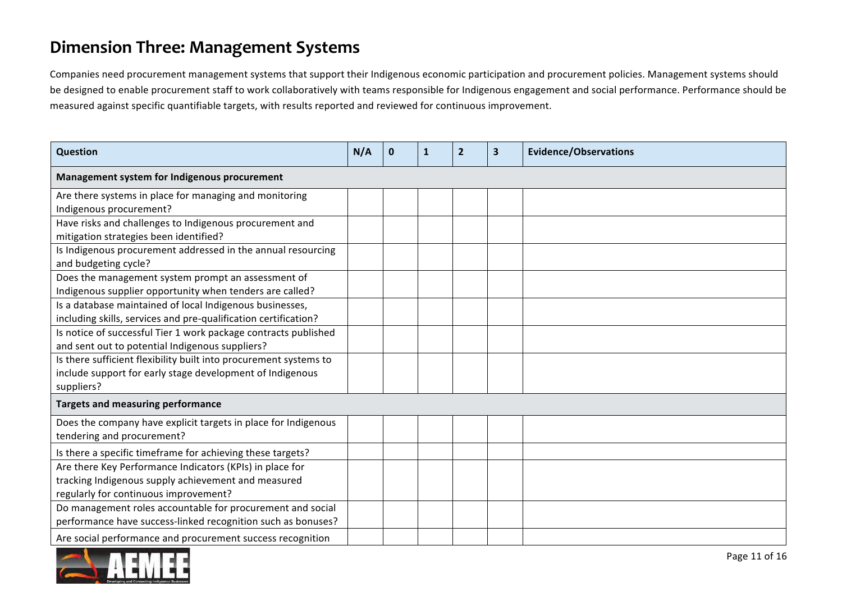### **Dimension Three: Management Systems**

Companies need procurement management systems that support their Indigenous economic participation and procurement policies. Management systems should be designed to enable procurement staff to work collaboratively with teams responsible for Indigenous engagement and social performance. Performance should be measured against specific quantifiable targets, with results reported and reviewed for continuous improvement.

| Question                                                          | N/A | $\bf{0}$ | 1 | 2 | 3 | <b>Evidence/Observations</b> |
|-------------------------------------------------------------------|-----|----------|---|---|---|------------------------------|
| Management system for Indigenous procurement                      |     |          |   |   |   |                              |
| Are there systems in place for managing and monitoring            |     |          |   |   |   |                              |
| Indigenous procurement?                                           |     |          |   |   |   |                              |
| Have risks and challenges to Indigenous procurement and           |     |          |   |   |   |                              |
| mitigation strategies been identified?                            |     |          |   |   |   |                              |
| Is Indigenous procurement addressed in the annual resourcing      |     |          |   |   |   |                              |
| and budgeting cycle?                                              |     |          |   |   |   |                              |
| Does the management system prompt an assessment of                |     |          |   |   |   |                              |
| Indigenous supplier opportunity when tenders are called?          |     |          |   |   |   |                              |
| Is a database maintained of local Indigenous businesses,          |     |          |   |   |   |                              |
| including skills, services and pre-qualification certification?   |     |          |   |   |   |                              |
| Is notice of successful Tier 1 work package contracts published   |     |          |   |   |   |                              |
| and sent out to potential Indigenous suppliers?                   |     |          |   |   |   |                              |
| Is there sufficient flexibility built into procurement systems to |     |          |   |   |   |                              |
| include support for early stage development of Indigenous         |     |          |   |   |   |                              |
| suppliers?                                                        |     |          |   |   |   |                              |
| <b>Targets and measuring performance</b>                          |     |          |   |   |   |                              |
| Does the company have explicit targets in place for Indigenous    |     |          |   |   |   |                              |
| tendering and procurement?                                        |     |          |   |   |   |                              |
| Is there a specific timeframe for achieving these targets?        |     |          |   |   |   |                              |
| Are there Key Performance Indicators (KPIs) in place for          |     |          |   |   |   |                              |
| tracking Indigenous supply achievement and measured               |     |          |   |   |   |                              |
| regularly for continuous improvement?                             |     |          |   |   |   |                              |
| Do management roles accountable for procurement and social        |     |          |   |   |   |                              |
| performance have success-linked recognition such as bonuses?      |     |          |   |   |   |                              |
| Are social performance and procurement success recognition        |     |          |   |   |   |                              |

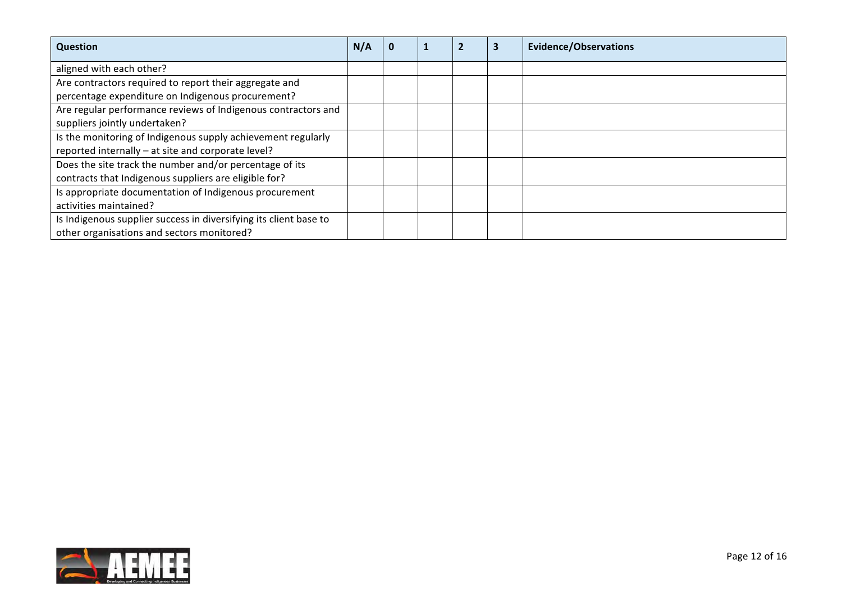| <b>Question</b>                                                   | N/A |  | э | <b>Evidence/Observations</b> |
|-------------------------------------------------------------------|-----|--|---|------------------------------|
| aligned with each other?                                          |     |  |   |                              |
| Are contractors required to report their aggregate and            |     |  |   |                              |
| percentage expenditure on Indigenous procurement?                 |     |  |   |                              |
| Are regular performance reviews of Indigenous contractors and     |     |  |   |                              |
| suppliers jointly undertaken?                                     |     |  |   |                              |
| Is the monitoring of Indigenous supply achievement regularly      |     |  |   |                              |
| reported internally - at site and corporate level?                |     |  |   |                              |
| Does the site track the number and/or percentage of its           |     |  |   |                              |
| contracts that Indigenous suppliers are eligible for?             |     |  |   |                              |
| Is appropriate documentation of Indigenous procurement            |     |  |   |                              |
| activities maintained?                                            |     |  |   |                              |
| Is Indigenous supplier success in diversifying its client base to |     |  |   |                              |
| other organisations and sectors monitored?                        |     |  |   |                              |

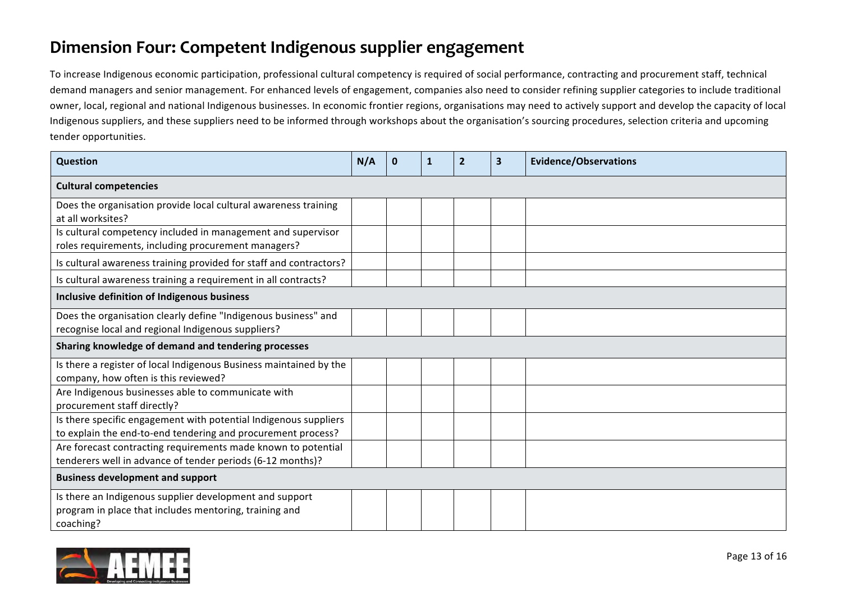### **Dimension Four: Competent Indigenous supplier engagement**

To increase Indigenous economic participation, professional cultural competency is required of social performance, contracting and procurement staff, technical demand managers and senior management. For enhanced levels of engagement, companies also need to consider refining supplier categories to include traditional owner, local, regional and national Indigenous businesses. In economic frontier regions, organisations may need to actively support and develop the capacity of local Indigenous suppliers, and these suppliers need to be informed through workshops about the organisation's sourcing procedures, selection criteria and upcoming tender opportunities.

| Question                                                                                                                         | N/A | $\bf{0}$ | 1 | $\overline{2}$ | 3 | <b>Evidence/Observations</b> |  |
|----------------------------------------------------------------------------------------------------------------------------------|-----|----------|---|----------------|---|------------------------------|--|
| <b>Cultural competencies</b>                                                                                                     |     |          |   |                |   |                              |  |
| Does the organisation provide local cultural awareness training<br>at all worksites?                                             |     |          |   |                |   |                              |  |
| Is cultural competency included in management and supervisor<br>roles requirements, including procurement managers?              |     |          |   |                |   |                              |  |
| Is cultural awareness training provided for staff and contractors?                                                               |     |          |   |                |   |                              |  |
| Is cultural awareness training a requirement in all contracts?                                                                   |     |          |   |                |   |                              |  |
| Inclusive definition of Indigenous business                                                                                      |     |          |   |                |   |                              |  |
| Does the organisation clearly define "Indigenous business" and<br>recognise local and regional Indigenous suppliers?             |     |          |   |                |   |                              |  |
| Sharing knowledge of demand and tendering processes                                                                              |     |          |   |                |   |                              |  |
| Is there a register of local Indigenous Business maintained by the<br>company, how often is this reviewed?                       |     |          |   |                |   |                              |  |
| Are Indigenous businesses able to communicate with<br>procurement staff directly?                                                |     |          |   |                |   |                              |  |
| Is there specific engagement with potential Indigenous suppliers<br>to explain the end-to-end tendering and procurement process? |     |          |   |                |   |                              |  |
| Are forecast contracting requirements made known to potential<br>tenderers well in advance of tender periods (6-12 months)?      |     |          |   |                |   |                              |  |
| <b>Business development and support</b>                                                                                          |     |          |   |                |   |                              |  |
| Is there an Indigenous supplier development and support<br>program in place that includes mentoring, training and<br>coaching?   |     |          |   |                |   |                              |  |

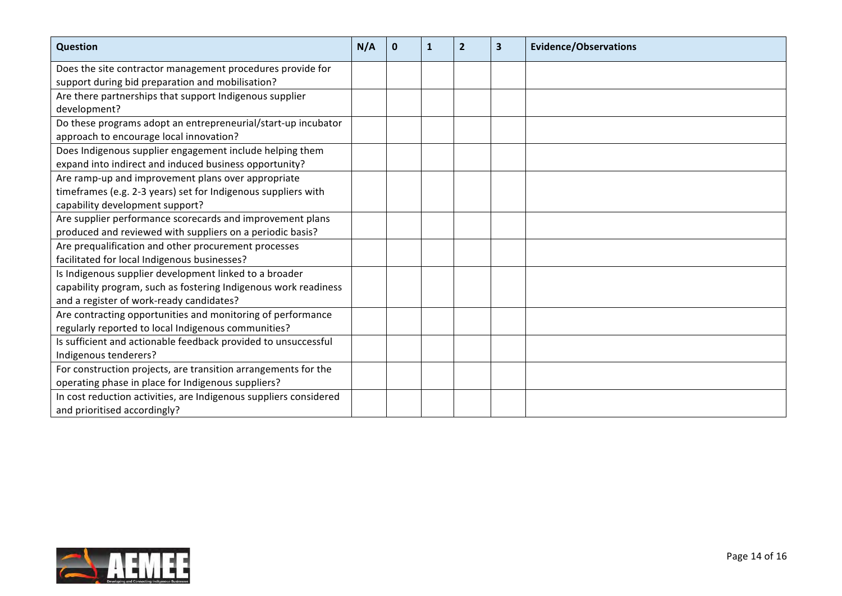| Question                                                          | N/A | $\mathbf{0}$ | $\mathbf{1}$ | $\overline{2}$ | $\overline{\mathbf{3}}$ | <b>Evidence/Observations</b> |
|-------------------------------------------------------------------|-----|--------------|--------------|----------------|-------------------------|------------------------------|
| Does the site contractor management procedures provide for        |     |              |              |                |                         |                              |
| support during bid preparation and mobilisation?                  |     |              |              |                |                         |                              |
| Are there partnerships that support Indigenous supplier           |     |              |              |                |                         |                              |
| development?                                                      |     |              |              |                |                         |                              |
| Do these programs adopt an entrepreneurial/start-up incubator     |     |              |              |                |                         |                              |
| approach to encourage local innovation?                           |     |              |              |                |                         |                              |
| Does Indigenous supplier engagement include helping them          |     |              |              |                |                         |                              |
| expand into indirect and induced business opportunity?            |     |              |              |                |                         |                              |
| Are ramp-up and improvement plans over appropriate                |     |              |              |                |                         |                              |
| timeframes (e.g. 2-3 years) set for Indigenous suppliers with     |     |              |              |                |                         |                              |
| capability development support?                                   |     |              |              |                |                         |                              |
| Are supplier performance scorecards and improvement plans         |     |              |              |                |                         |                              |
| produced and reviewed with suppliers on a periodic basis?         |     |              |              |                |                         |                              |
| Are prequalification and other procurement processes              |     |              |              |                |                         |                              |
| facilitated for local Indigenous businesses?                      |     |              |              |                |                         |                              |
| Is Indigenous supplier development linked to a broader            |     |              |              |                |                         |                              |
| capability program, such as fostering Indigenous work readiness   |     |              |              |                |                         |                              |
| and a register of work-ready candidates?                          |     |              |              |                |                         |                              |
| Are contracting opportunities and monitoring of performance       |     |              |              |                |                         |                              |
| regularly reported to local Indigenous communities?               |     |              |              |                |                         |                              |
| Is sufficient and actionable feedback provided to unsuccessful    |     |              |              |                |                         |                              |
| Indigenous tenderers?                                             |     |              |              |                |                         |                              |
| For construction projects, are transition arrangements for the    |     |              |              |                |                         |                              |
| operating phase in place for Indigenous suppliers?                |     |              |              |                |                         |                              |
| In cost reduction activities, are Indigenous suppliers considered |     |              |              |                |                         |                              |
| and prioritised accordingly?                                      |     |              |              |                |                         |                              |

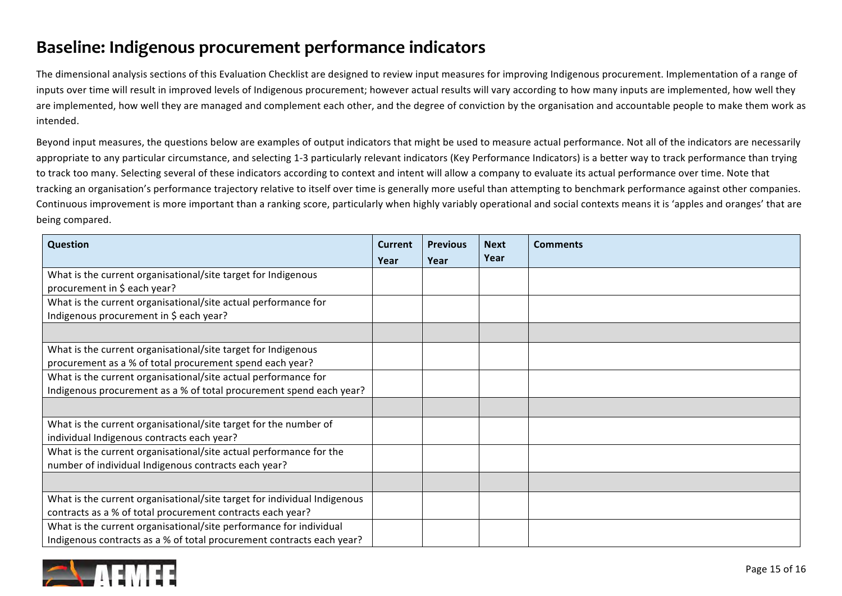### **Baseline: Indigenous procurement performance indicators**

The dimensional analysis sections of this Evaluation Checklist are designed to review input measures for improving Indigenous procurement. Implementation of a range of inputs over time will result in improved levels of Indigenous procurement; however actual results will vary according to how many inputs are implemented, how well they are implemented, how well they are managed and complement each other, and the degree of conviction by the organisation and accountable people to make them work as intended. 

Beyond input measures, the questions below are examples of output indicators that might be used to measure actual performance. Not all of the indicators are necessarily appropriate to any particular circumstance, and selecting 1-3 particularly relevant indicators (Key Performance Indicators) is a better way to track performance than trying to track too many. Selecting several of these indicators according to context and intent will allow a company to evaluate its actual performance over time. Note that tracking an organisation's performance trajectory relative to itself over time is generally more useful than attempting to benchmark performance against other companies. Continuous improvement is more important than a ranking score, particularly when highly variably operational and social contexts means it is 'apples and oranges' that are being compared.

| <b>Question</b>                                                          | Current<br>Year | <b>Previous</b><br>Year | <b>Next</b><br>Year | <b>Comments</b> |
|--------------------------------------------------------------------------|-----------------|-------------------------|---------------------|-----------------|
| What is the current organisational/site target for Indigenous            |                 |                         |                     |                 |
| procurement in \$ each year?                                             |                 |                         |                     |                 |
| What is the current organisational/site actual performance for           |                 |                         |                     |                 |
| Indigenous procurement in \$ each year?                                  |                 |                         |                     |                 |
|                                                                          |                 |                         |                     |                 |
| What is the current organisational/site target for Indigenous            |                 |                         |                     |                 |
| procurement as a % of total procurement spend each year?                 |                 |                         |                     |                 |
| What is the current organisational/site actual performance for           |                 |                         |                     |                 |
| Indigenous procurement as a % of total procurement spend each year?      |                 |                         |                     |                 |
|                                                                          |                 |                         |                     |                 |
| What is the current organisational/site target for the number of         |                 |                         |                     |                 |
| individual Indigenous contracts each year?                               |                 |                         |                     |                 |
| What is the current organisational/site actual performance for the       |                 |                         |                     |                 |
| number of individual Indigenous contracts each year?                     |                 |                         |                     |                 |
|                                                                          |                 |                         |                     |                 |
| What is the current organisational/site target for individual Indigenous |                 |                         |                     |                 |
| contracts as a % of total procurement contracts each year?               |                 |                         |                     |                 |
| What is the current organisational/site performance for individual       |                 |                         |                     |                 |
| Indigenous contracts as a % of total procurement contracts each year?    |                 |                         |                     |                 |